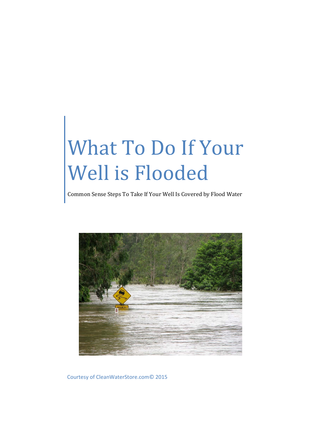# What To Do If Your Well is Flooded

Common Sense Steps To Take If Your Well Is Covered by Flood Water



Courtesy of CleanWaterStore.com© 2015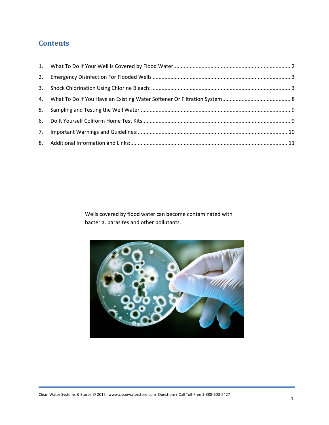## **Contents**

Wells covered by flood water can become contaminated with bacteria, parasites and other pollutants.

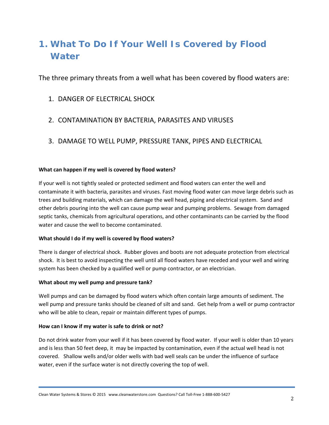# **1. What To Do If Your Well Is Covered by Flood Water**

The three primary threats from a well what has been covered by flood waters are:

- 1. DANGER OF ELECTRICAL SHOCK
- 2. CONTAMINATION BY BACTERIA, PARASITES AND VIRUSES
- 3. DAMAGE TO WELL PUMP, PRESSURE TANK, PIPES AND ELECTRICAL

## **What can happen if my well is covered by flood waters?**

If your well is not tightly sealed or protected sediment and flood waters can enter the well and contaminate it with bacteria, parasites and viruses. Fast moving flood water can move large debris such as trees and building materials, which can damage the well head, piping and electrical system. Sand and other debris pouring into the well can cause pump wear and pumping problems. Sewage from damaged septic tanks, chemicals from agricultural operations, and other contaminants can be carried by the flood water and cause the well to become contaminated.

## **What should I do if my well is covered by flood waters?**

There is danger of electrical shock. Rubber gloves and boots are not adequate protection from electrical shock. It is best to avoid inspecting the well until all flood waters have receded and your well and wiring system has been checked by a qualified well or pump contractor, or an electrician.

## **What about my well pump and pressure tank?**

Well pumps and can be damaged by flood waters which often contain large amounts of sediment. The well pump and pressure tanks should be cleaned of silt and sand. Get help from a well or pump contractor who will be able to clean, repair or maintain different types of pumps.

## **How can I know if my water is safe to drink or not?**

Do not drink water from your well if it has been covered by flood water. If your well is older than 10 years and is less than 50 feet deep, it may be impacted by contamination, even if the actual well head is not covered. Shallow wells and/or older wells with bad well seals can be under the influence of surface water, even if the surface water is not directly covering the top of well.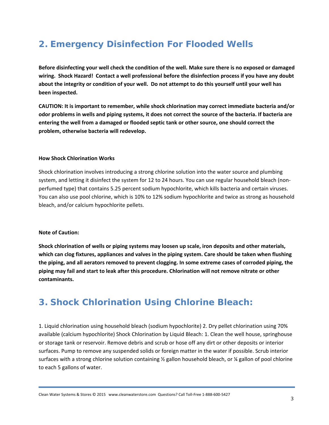# **2. Emergency Disinfection For Flooded Wells**

Before disinfecting your well check the condition of the well. Make sure there is no exposed or damaged wiring. Shock Hazard! Contact a well professional before the disinfection process if you have any doubt about the integrity or condition of your well. Do not attempt to do this yourself until your well has **been inspected.**

**CAUTION: It is important to remember, while shock chlorination may correct immediate bacteria and/or** odor problems in wells and piping systems, it does not correct the source of the bacteria. If bacteria are **entering the well from a damaged or flooded septic tank or other source, one should correct the problem, otherwise bacteria will redevelop.**

#### **How Shock Chlorination Works**

Shock chlorination involves introducing a strong chlorine solution into the water source and plumbing system, and letting it disinfect the system for 12 to 24 hours. You can use regular household bleach (nonperfumed type) that contains 5.25 percent sodium hypochlorite, which kills bacteria and certain viruses. You can also use pool chlorine, which is 10% to 12% sodium hypochlorite and twice as strong as household bleach, and/or calcium hypochlorite pellets.

#### **Note of Caution:**

**Shock chlorination of wells or piping systems may loosen up scale, iron deposits and other materials, which can clog fixtures, appliances and valves in the piping system. Care should be taken when flushing the piping, and all aerators removed to prevent clogging. In some extreme cases of corroded piping, the piping may fail and start to leak after this procedure. Chlorination will not remove nitrate or other contaminants.**

## **3. Shock Chlorination Using Chlorine Bleach:**

1. Liquid chlorination using household bleach (sodium hypochlorite) 2. Dry pellet chlorination using 70% available (calcium hypochlorite) Shock Chlorination by Liquid Bleach: 1. Clean the well house, springhouse or storage tank or reservoir. Remove debris and scrub or hose off any dirt or other deposits or interior surfaces. Pump to remove any suspended solids or foreign matter in the water if possible. Scrub interior surfaces with a strong chlorine solution containing ½ gallon household bleach, or ¼ gallon of pool chlorine to each 5 gallons of water.

Clean Water Systems & Stores © 2015 www.cleanwaterstore.com Questions? Call Toll‐Free 1‐888‐600‐5427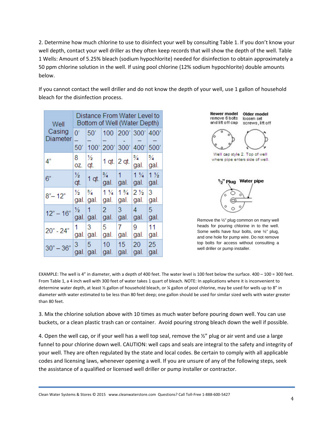2. Determine how much chlorine to use to disinfect your well by consulting Table 1. If you don't know your well depth, contact your well driller as they often keep records that will show the depth of the well. Table 1 Wells: Amount of 5.25% bleach (sodium hypochlorite) needed for disinfection to obtain approximately a 50 ppm chlorine solution in the well. If using pool chlorine (12% sodium hypochlorite) double amounts below.

If you cannot contact the well driller and do not know the depth of your well, use 1 gallon of household bleach for the disinfection process.

| Well               | Distance From Water Level to<br>Bottom of Well (Water Depth) |               |                |                |                            |                        |  |
|--------------------|--------------------------------------------------------------|---------------|----------------|----------------|----------------------------|------------------------|--|
| Casing<br>Diameter | $0^{\prime}$<br>$\overline{\phantom{0}}$<br>50'              | 50'<br>100'   | 200'           | 300'           | 100 200' 300' 400'<br>400' | 500'                   |  |
| 4"                 | 8<br>OZ.                                                     | ⅓<br>qt.      | 1 qt. $2$ qt.  |                | 3/4<br>gal.                | $\frac{3}{4}$<br>gal.  |  |
| 6"                 | ⅓<br>qt.                                                     | $1$ qt.       | 3⁄4<br>gal.    | 1<br>gal.      | $1\frac{1}{4}$<br>gal.     | $1\frac{1}{2}$<br>gal. |  |
| $8 - 12$           | ⅓                                                            | $\frac{3}{4}$ | $1\frac{1}{4}$ | $1\frac{3}{4}$ | $2\frac{1}{2}$             | 3                      |  |
|                    | gal.                                                         | gal.          | gal.           | gal.           | gal.                       | gal.                   |  |
| $12" - 16"$        | ⅓                                                            | 1             | $\mathcal{P}$  | 3              | 4                          | 5                      |  |
|                    | gal.                                                         | gal.          | gal.           | gal.           | gal.                       | gal.                   |  |
| $20" - 24"$        | 1                                                            | 3             | 5              | 7              | 9                          | 11                     |  |
|                    | gal.                                                         | gal.          | gal.           | gal.           | gal.                       | gal.                   |  |
| $30 - 36$          | 3                                                            | 5             | 10             | 15             | 20                         | 25                     |  |
|                    | gal.                                                         | gal.          | gal.           | gal.           | gal.                       | gal.                   |  |

**Newer model** remove 6 bolts and lift off cap

Older model loosen set screws, lift off



Well cap style 2. Top of well where pipe enters side of well.



Remove the ½" plug common on many well heads for pouring chlorine in to the well. Some wells have four bolts, one ½" plug, and one hole for pump wire. Do not remove top bolts for access without consulting a well driller or pump installer.

EXAMPLE: The well is 4" in diameter, with a depth of 400 feet. The water level is 100 feet below the surface. 400 – 100 = 300 feet. From Table 1, a 4 inch well with 300 feet of water takes 1 quart of bleach. NOTE: In applications where it is inconvenient to determine water depth, at least ½ gallon of household bleach, or ¼ gallon of pool chlorine, may be used for wells up to 8" in diameter with water estimated to be less than 80 feet deep; one gallon should be used for similar sized wells with water greater than 80 feet.

3. Mix the chlorine solution above with 10 times as much water before pouring down well. You can use buckets, or a clean plastic trash can or container. Avoid pouring strong bleach down the well if possible.

4. Open the well cap, or if your well has a well top seal, remove the  $\frac{1}{2}$ " plug or air vent and use a large funnel to pour chlorine down well. CAUTION: well caps and seals are integral to the safety and integrity of your well. They are often regulated by the state and local codes. Be certain to comply with all applicable codes and licensing laws, whenever opening a well. If you are unsure of any of the following steps, seek the assistance of a qualified or licensed well driller or pump installer or contractor.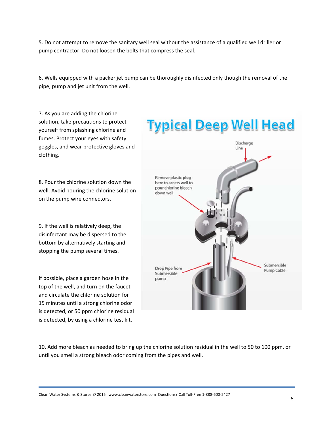5. Do not attempt to remove the sanitary well seal without the assistance of a qualified well driller or pump contractor. Do not loosen the bolts that compress the seal.

6. Wells equipped with a packer jet pump can be thoroughly disinfected only though the removal of the pipe, pump and jet unit from the well.

7. As you are adding the chlorine solution, take precautions to protect yourself from splashing chlorine and fumes. Protect your eyes with safety goggles, and wear protective gloves and clothing.

8. Pour the chlorine solution down the well. Avoid pouring the chlorine solution on the pump wire connectors.

9. If the well is relatively deep, the disinfectant may be dispersed to the bottom by alternatively starting and stopping the pump several times.

If possible, place a garden hose in the top of the well, and turn on the faucet and circulate the chlorine solution for 15 minutes until a strong chlorine odor is detected, or 50 ppm chlorine residual is detected, by using a chlorine test kit.



10. Add more bleach as needed to bring up the chlorine solution residual in the well to 50 to 100 ppm, or until you smell a strong bleach odor coming from the pipes and well.

Clean Water Systems & Stores © 2015 www.cleanwaterstore.com Questions? Call Toll‐Free 1‐888‐600‐5427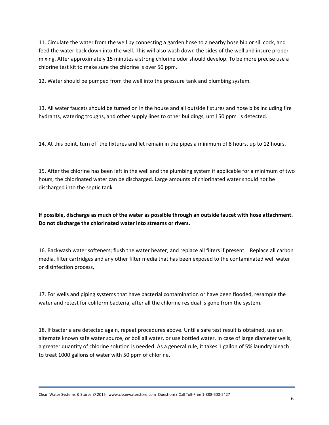11. Circulate the water from the well by connecting a garden hose to a nearby hose bib or sill cock, and feed the water back down into the well. This will also wash down the sides of the well and insure proper mixing. After approximately 15 minutes a strong chlorine odor should develop. To be more precise use a chlorine test kit to make sure the chlorine is over 50 ppm.

12. Water should be pumped from the well into the pressure tank and plumbing system.

13. All water faucets should be turned on in the house and all outside fixtures and hose bibs including fire hydrants, watering troughs, and other supply lines to other buildings, until 50 ppm is detected.

14. At this point, turn off the fixtures and let remain in the pipes a minimum of 8 hours, up to 12 hours.

15. After the chlorine has been left in the well and the plumbing system if applicable for a minimum of two hours, the chlorinated water can be discharged. Large amounts of chlorinated water should not be discharged into the septic tank.

**If possible, discharge as much of the water as possible through an outside faucet with hose attachment. Do not discharge the chlorinated water into streams or rivers.** 

16. Backwash water softeners; flush the water heater; and replace all filters if present. Replace all carbon media, filter cartridges and any other filter media that has been exposed to the contaminated well water or disinfection process.

17. For wells and piping systems that have bacterial contamination or have been flooded, resample the water and retest for coliform bacteria, after all the chlorine residual is gone from the system.

18. If bacteria are detected again, repeat procedures above. Until a safe test result is obtained, use an alternate known safe water source, or boil all water, or use bottled water. In case of large diameter wells, a greater quantity of chlorine solution is needed. As a general rule, it takes 1 gallon of 5% laundry bleach to treat 1000 gallons of water with 50 ppm of chlorine.

Clean Water Systems & Stores © 2015 www.cleanwaterstore.com Questions? Call Toll‐Free 1‐888‐600‐5427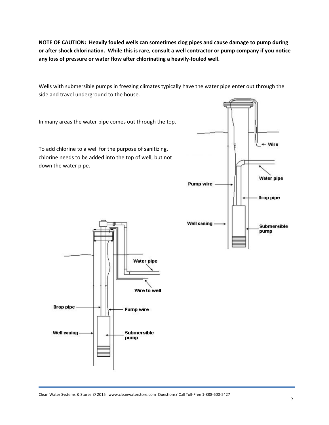**NOTE OF CAUTION: Heavily fouled wells can sometimes clog pipes and cause damage to pump during** or after shock chlorination. While this is rare, consult a well contractor or pump company if you notice **any loss of pressure or water flow after chlorinating a heavily‐fouled well.** 

Wells with submersible pumps in freezing climates typically have the water pipe enter out through the side and travel underground to the house.

In many areas the water pipe comes out through the top.

To add chlorine to a well for the purpose of sanitizing, chlorine needs to be added into the top of well, but not down the water pipe.



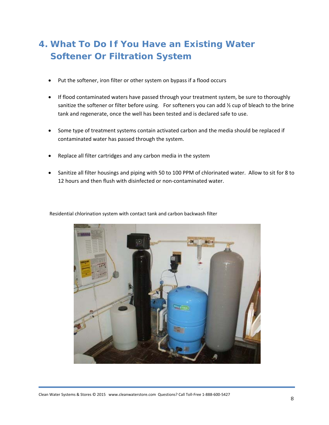# **4. What To Do If You Have an Existing Water Softener Or Filtration System**

- Put the softener, iron filter or other system on bypass if a flood occurs
- If flood contaminated waters have passed through your treatment system, be sure to thoroughly sanitize the softener or filter before using. For softeners you can add  $\frac{1}{2}$  cup of bleach to the brine tank and regenerate, once the well has been tested and is declared safe to use.
- Some type of treatment systems contain activated carbon and the media should be replaced if contaminated water has passed through the system.
- Replace all filter cartridges and any carbon media in the system
- Sanitize all filter housings and piping with 50 to 100 PPM of chlorinated water. Allow to sit for 8 to 12 hours and then flush with disinfected or non-contaminated water.



Residential chlorination system with contact tank and carbon backwash filter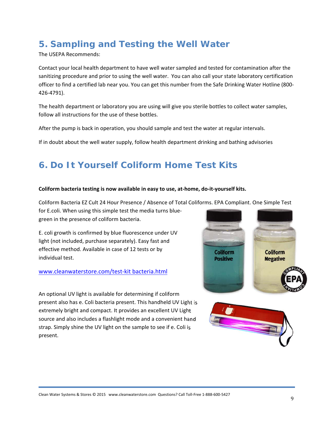# **5. Sampling and Testing the Well Water**

The USEPA Recommends:

Contact your local health department to have well water sampled and tested for contamination after the sanitizing procedure and prior to using the well water. You can also call your state laboratory certification officer to find a certified lab near you. You can get this number from the Safe Drinking Water Hotline (800‐ 426‐4791).

The health department or laboratory you are using will give you sterile bottles to collect water samples, follow all instructions for the use of these bottles.

After the pump is back in operation, you should sample and test the water at regular intervals.

If in doubt about the well water supply, follow health department drinking and bathing advisories

# **6. Do It Yourself Coliform Home Test Kits**

#### Coliform bacteria testing is now available in easy to use, at-home, do-it-yourself kits.

Coliform Bacteria EZ Cult 24 Hour Presence / Absence of Total Coliforms. EPA Compliant. One Simple Test

for E.coli. When using this simple test the media turns blue‐ green in the presence of coliform bacteria.

E. coli growth is confirmed by blue fluorescence under UV light (not included, purchase separately). Easy fast and effective method. Available in case of 12 tests or by individual test.

## www.cleanwaterstore.com/test‐kit bacteria.html

An optional UV light is available for determining if coliform present also has e. Coli bacteria present. This handheld UV Light is extremely bright and compact. It provides an excellent UV Light source and also includes a flashlight mode and a convenient hand strap. Simply shine the UV light on the sample to see if e. Coli is present.



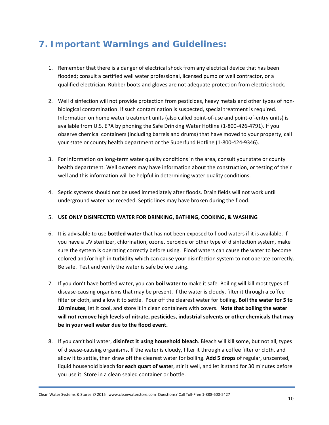## **7. Important Warnings and Guidelines:**

- 1. Remember that there is a danger of electrical shock from any electrical device that has been flooded; consult a certified well water professional, licensed pump or well contractor, or a qualified electrician. Rubber boots and gloves are not adequate protection from electric shock.
- 2. Well disinfection will not provide protection from pesticides, heavy metals and other types of non‐ biological contamination. If such contamination is suspected, special treatment is required. Information on home water treatment units (also called point‐of‐use and point‐of‐entry units) is available from U.S. EPA by phoning the Safe Drinking Water Hotline (1‐800‐426‐4791). If you observe chemical containers (including barrels and drums) that have moved to your property, call your state or county health department or the Superfund Hotline (1‐800‐424‐9346).
- 3. For information on long-term water quality conditions in the area, consult your state or county health department. Well owners may have information about the construction, or testing of their well and this information will be helpful in determining water quality conditions.
- 4. Septic systems should not be used immediately after floods. Drain fields will not work until underground water has receded. Septic lines may have broken during the flood.

## 5. **USE ONLY DISINFECTED WATER FOR DRINKING, BATHING, COOKING, & WASHING**

- 6. It is advisable to use **bottled water** that has not been exposed to flood waters if it is available. If you have a UV sterilizer, chlorination, ozone, peroxide or other type of disinfection system, make sure the system is operating correctly before using. Flood waters can cause the water to become colored and/or high in turbidity which can cause your disinfection system to not operate correctly. Be safe. Test and verify the water is safe before using.
- 7. If you don't have bottled water, you can **boil water** to make it safe. Boiling will kill most types of disease‐causing organisms that may be present. If the water is cloudy, filter it through a coffee filter or cloth, and allow it to settle. Pour off the clearest water for boiling. **Boil the water for 5 to 10 minutes**, let it cool, and store it in clean containers with covers. **Note that boiling the water will not remove high levels of nitrate, pesticides, industrial solvents or other chemicals that may be in your well water due to the flood event.**
- 8. If you can't boil water, **disinfect it using household bleach**. Bleach will kill some, but not all, types of disease‐causing organisms. If the water is cloudy, filter it through a coffee filter or cloth, and allow it to settle, then draw off the clearest water for boiling. **Add 5 drops** of regular, unscented, liquid household bleach **for each quart of water**, stir it well, and let it stand for 30 minutes before you use it. Store in a clean sealed container or bottle.